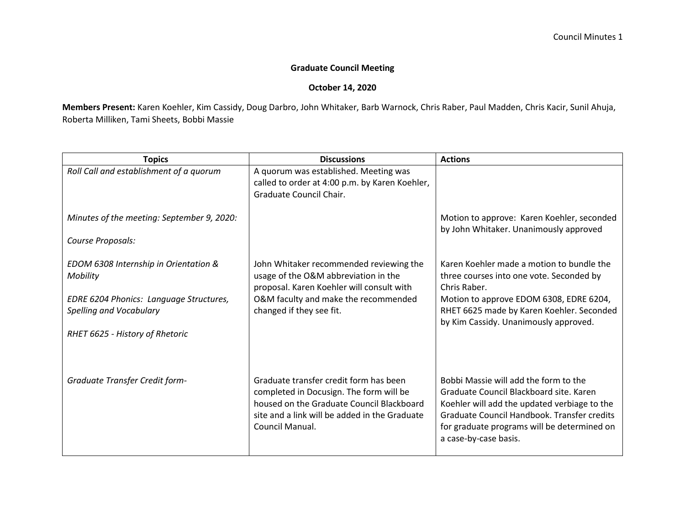## **Graduate Council Meeting**

## **October 14, 2020**

**Members Present:** Karen Koehler, Kim Cassidy, Doug Darbro, John Whitaker, Barb Warnock, Chris Raber, Paul Madden, Chris Kacir, Sunil Ahuja, Roberta Milliken, Tami Sheets, Bobbi Massie

| <b>Topics</b>                                                                                                                                              | <b>Discussions</b>                                                                                                                                                                                 | <b>Actions</b>                                                                                                                                                                                                                                          |
|------------------------------------------------------------------------------------------------------------------------------------------------------------|----------------------------------------------------------------------------------------------------------------------------------------------------------------------------------------------------|---------------------------------------------------------------------------------------------------------------------------------------------------------------------------------------------------------------------------------------------------------|
| Roll Call and establishment of a quorum                                                                                                                    | A quorum was established. Meeting was<br>called to order at 4:00 p.m. by Karen Koehler,<br>Graduate Council Chair.                                                                                 |                                                                                                                                                                                                                                                         |
| Minutes of the meeting: September 9, 2020:<br>Course Proposals:                                                                                            |                                                                                                                                                                                                    | Motion to approve: Karen Koehler, seconded<br>by John Whitaker. Unanimously approved                                                                                                                                                                    |
|                                                                                                                                                            |                                                                                                                                                                                                    |                                                                                                                                                                                                                                                         |
| EDOM 6308 Internship in Orientation &<br>Mobility<br>EDRE 6204 Phonics: Language Structures,<br>Spelling and Vocabulary<br>RHET 6625 - History of Rhetoric | John Whitaker recommended reviewing the<br>usage of the O&M abbreviation in the<br>proposal. Karen Koehler will consult with<br>O&M faculty and make the recommended<br>changed if they see fit.   | Karen Koehler made a motion to bundle the<br>three courses into one vote. Seconded by<br>Chris Raber.<br>Motion to approve EDOM 6308, EDRE 6204,<br>RHET 6625 made by Karen Koehler. Seconded<br>by Kim Cassidy. Unanimously approved.                  |
| <b>Graduate Transfer Credit form-</b>                                                                                                                      | Graduate transfer credit form has been<br>completed in Docusign. The form will be<br>housed on the Graduate Council Blackboard<br>site and a link will be added in the Graduate<br>Council Manual. | Bobbi Massie will add the form to the<br>Graduate Council Blackboard site. Karen<br>Koehler will add the updated verbiage to the<br>Graduate Council Handbook. Transfer credits<br>for graduate programs will be determined on<br>a case-by-case basis. |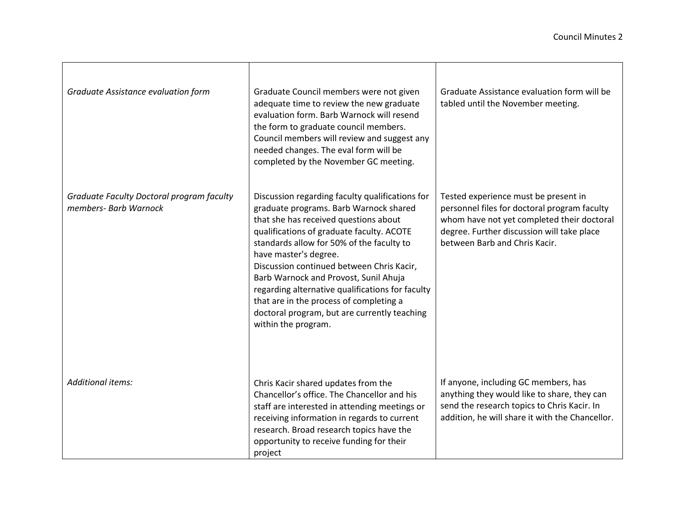| Graduate Assistance evaluation form                                | Graduate Council members were not given<br>adequate time to review the new graduate<br>evaluation form. Barb Warnock will resend<br>the form to graduate council members.<br>Council members will review and suggest any<br>needed changes. The eval form will be<br>completed by the November GC meeting.                                                                                                                                                                                                        | Graduate Assistance evaluation form will be<br>tabled until the November meeting.                                                                                                                                 |
|--------------------------------------------------------------------|-------------------------------------------------------------------------------------------------------------------------------------------------------------------------------------------------------------------------------------------------------------------------------------------------------------------------------------------------------------------------------------------------------------------------------------------------------------------------------------------------------------------|-------------------------------------------------------------------------------------------------------------------------------------------------------------------------------------------------------------------|
| Graduate Faculty Doctoral program faculty<br>members- Barb Warnock | Discussion regarding faculty qualifications for<br>graduate programs. Barb Warnock shared<br>that she has received questions about<br>qualifications of graduate faculty. ACOTE<br>standards allow for 50% of the faculty to<br>have master's degree.<br>Discussion continued between Chris Kacir,<br>Barb Warnock and Provost, Sunil Ahuja<br>regarding alternative qualifications for faculty<br>that are in the process of completing a<br>doctoral program, but are currently teaching<br>within the program. | Tested experience must be present in<br>personnel files for doctoral program faculty<br>whom have not yet completed their doctoral<br>degree. Further discussion will take place<br>between Barb and Chris Kacir. |
| <b>Additional items:</b>                                           | Chris Kacir shared updates from the<br>Chancellor's office. The Chancellor and his<br>staff are interested in attending meetings or<br>receiving information in regards to current<br>research. Broad research topics have the<br>opportunity to receive funding for their<br>project                                                                                                                                                                                                                             | If anyone, including GC members, has<br>anything they would like to share, they can<br>send the research topics to Chris Kacir. In<br>addition, he will share it with the Chancellor.                             |